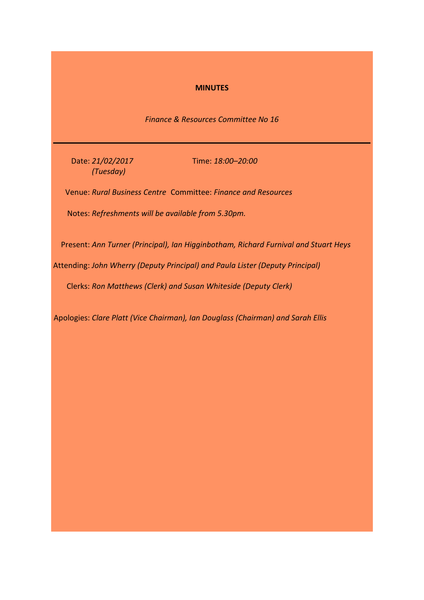### **MINUTES**

*Finance & Resources Committee No 16*

Date: *21/02/2017 (Tuesday)*

Time: *18:00–20:00*

Venue: *Rural Business Centre* Committee: *Finance and Resources*

Notes: *Refreshments will be available from 5.30pm.*

Present: *Ann Turner (Principal), Ian Higginbotham, Richard Furnival and Stuart Heys*

Attending: *John Wherry (Deputy Principal) and Paula Lister (Deputy Principal)*

Clerks: *Ron Matthews (Clerk) and Susan Whiteside (Deputy Clerk)*

Apologies: *Clare Platt (Vice Chairman), Ian Douglass (Chairman) and Sarah Ellis*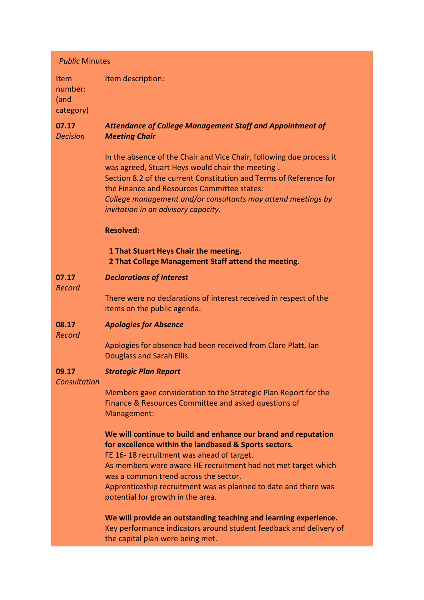| <b>Public Minutes</b>                       |                                                                                                                                                                                                                                                                                                                                                      |  |
|---------------------------------------------|------------------------------------------------------------------------------------------------------------------------------------------------------------------------------------------------------------------------------------------------------------------------------------------------------------------------------------------------------|--|
| <b>Item</b><br>number:<br>(and<br>category) | Item description:                                                                                                                                                                                                                                                                                                                                    |  |
| 07.17<br><b>Decision</b>                    | <b>Attendance of College Management Staff and Appointment of</b><br><b>Meeting Chair</b>                                                                                                                                                                                                                                                             |  |
|                                             | In the absence of the Chair and Vice Chair, following due process it<br>was agreed, Stuart Heys would chair the meeting.<br>Section 8.2 of the current Constitution and Terms of Reference for<br>the Finance and Resources Committee states:<br>College management and/or consultants may attend meetings by<br>invitation in an advisory capacity. |  |
|                                             | <b>Resolved:</b>                                                                                                                                                                                                                                                                                                                                     |  |
|                                             | 1 That Stuart Heys Chair the meeting.<br>2 That College Management Staff attend the meeting.                                                                                                                                                                                                                                                         |  |
| 07.17<br>Record                             | <b>Declarations of Interest</b>                                                                                                                                                                                                                                                                                                                      |  |
|                                             | There were no declarations of interest received in respect of the<br>items on the public agenda.                                                                                                                                                                                                                                                     |  |
| 08.17<br>Record                             | <b>Apologies for Absence</b>                                                                                                                                                                                                                                                                                                                         |  |
|                                             | Apologies for absence had been received from Clare Platt, Ian<br>Douglass and Sarah Ellis.                                                                                                                                                                                                                                                           |  |
| 09.17<br>Consultation                       | <b>Strategic Plan Report</b>                                                                                                                                                                                                                                                                                                                         |  |
|                                             | Members gave consideration to the Strategic Plan Report for the<br>Finance & Resources Committee and asked questions of<br>Management:                                                                                                                                                                                                               |  |
|                                             | We will continue to build and enhance our brand and reputation<br>for excellence within the landbased & Sports sectors.<br>FE 16-18 recruitment was ahead of target.                                                                                                                                                                                 |  |
|                                             | As members were aware HE recruitment had not met target which<br>was a common trend across the sector.<br>Apprenticeship recruitment was as planned to date and there was<br>potential for growth in the area.                                                                                                                                       |  |
|                                             | We will provide an outstanding teaching and learning experience.<br>Key performance indicators around student feedback and delivery of<br>the capital plan were being met.                                                                                                                                                                           |  |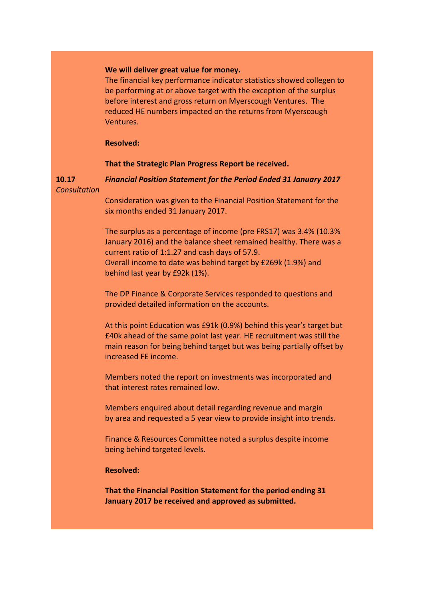### **We will deliver great value for money.**

The financial key performance indicator statistics showed collegen to be performing at or above target with the exception of the surplus before interest and gross return on Myerscough Ventures. The reduced HE numbers impacted on the returns from Myerscough Ventures.

### **Resolved:**

### **That the Strategic Plan Progress Report be received.**

**10.17** *Financial Position Statement for the Period Ended 31 January 2017*

*Consultation*

Consideration was given to the Financial Position Statement for the six months ended 31 January 2017.

The surplus as a percentage of income (pre FRS17) was 3.4% (10.3% January 2016) and the balance sheet remained healthy. There was a current ratio of 1:1.27 and cash days of 57.9. Overall income to date was behind target by £269k (1.9%) and behind last year by £92k (1%).

The DP Finance & Corporate Services responded to questions and provided detailed information on the accounts.

At this point Education was £91k (0.9%) behind this year's target but £40k ahead of the same point last year. HE recruitment was still the main reason for being behind target but was being partially offset by increased FE income.

Members noted the report on investments was incorporated and that interest rates remained low.

Members enquired about detail regarding revenue and margin by area and requested a 5 year view to provide insight into trends.

Finance & Resources Committee noted a surplus despite income being behind targeted levels.

### **Resolved:**

**That the Financial Position Statement for the period ending 31 January 2017 be received and approved as submitted.**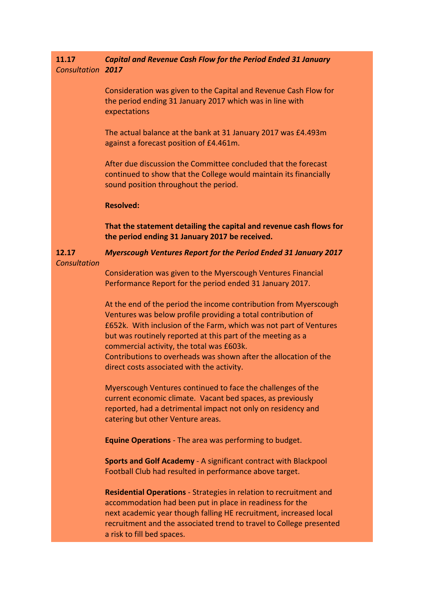### **11.17** *Consultation 2017 Capital and Revenue Cash Flow for the Period Ended 31 January*

Consideration was given to the Capital and Revenue Cash Flow for the period ending 31 January 2017 which was in line with expectations

The actual balance at the bank at 31 January 2017 was £4.493m against a forecast position of £4.461m.

After due discussion the Committee concluded that the forecast continued to show that the College would maintain its financially sound position throughout the period.

### **Resolved:**

**That the statement detailing the capital and revenue cash flows for the period ending 31 January 2017 be received.**

# *Myerscough Ventures Report for the Period Ended 31 January 2017*

### *Consultation*

**12.17**

Consideration was given to the Myerscough Ventures Financial Performance Report for the period ended 31 January 2017.

At the end of the period the income contribution from Myerscough Ventures was below profile providing a total contribution of £652k. With inclusion of the Farm, which was not part of Ventures but was routinely reported at this part of the meeting as a commercial activity, the total was £603k. Contributions to overheads was shown after the allocation of the direct costs associated with the activity.

Myerscough Ventures continued to face the challenges of the current economic climate. Vacant bed spaces, as previously reported, had a detrimental impact not only on residency and catering but other Venture areas.

**Equine Operations** - The area was performing to budget.

**Sports and Golf Academy** - A significant contract with Blackpool Football Club had resulted in performance above target.

**Residential Operations** - Strategies in relation to recruitment and accommodation had been put in place in readiness for the next academic year though falling HE recruitment, increased local recruitment and the associated trend to travel to College presented a risk to fill bed spaces.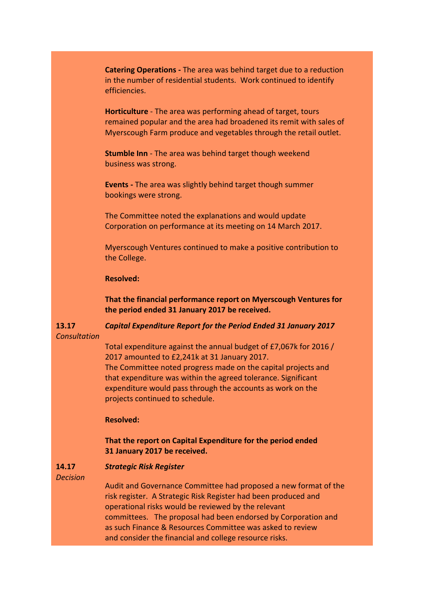**Catering Operations -** The area was behind target due to a reduction in the number of residential students. Work continued to identify efficiencies.

**Horticulture** - The area was performing ahead of target, tours remained popular and the area had broadened its remit with sales of Myerscough Farm produce and vegetables through the retail outlet.

**Stumble Inn** - The area was behind target though weekend business was strong.

**Events -** The area was slightly behind target though summer bookings were strong.

The Committee noted the explanations and would update Corporation on performance at its meeting on 14 March 2017.

Myerscough Ventures continued to make a positive contribution to the College.

### **Resolved:**

**That the financial performance report on Myerscough Ventures for the period ended 31 January 2017 be received.**

*Capital Expenditure Report for the Period Ended 31 January 2017*

*Consultation*

**13.17**

Total expenditure against the annual budget of £7,067k for 2016 / 2017 amounted to £2,241k at 31 January 2017.

The Committee noted progress made on the capital projects and that expenditure was within the agreed tolerance. Significant expenditure would pass through the accounts as work on the projects continued to schedule.

### **Resolved:**

## **That the report on Capital Expenditure for the period ended 31 January 2017 be received.**

#### **14.17** *Strategic Risk Register*

*Decision*

Audit and Governance Committee had proposed a new format of the risk register. A Strategic Risk Register had been produced and operational risks would be reviewed by the relevant committees. The proposal had been endorsed by Corporation and as such Finance & Resources Committee was asked to review and consider the financial and college resource risks.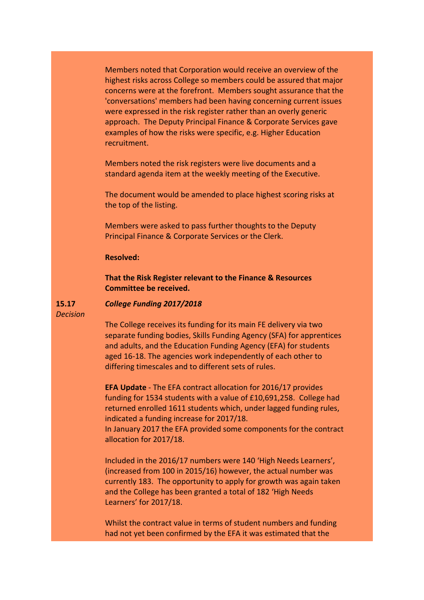Members noted that Corporation would receive an overview of the highest risks across College so members could be assured that major concerns were at the forefront. Members sought assurance that the 'conversations' members had been having concerning current issues were expressed in the risk register rather than an overly generic approach. The Deputy Principal Finance & Corporate Services gave examples of how the risks were specific, e.g. Higher Education recruitment.

Members noted the risk registers were live documents and a standard agenda item at the weekly meeting of the Executive.

The document would be amended to place highest scoring risks at the top of the listing.

Members were asked to pass further thoughts to the Deputy Principal Finance & Corporate Services or the Clerk.

### **Resolved:**

**That the Risk Register relevant to the Finance & Resources Committee be received.**

#### **15.17** *College Funding 2017/2018*

*Decision*

The College receives its funding for its main FE delivery via two separate funding bodies, Skills Funding Agency (SFA) for apprentices and adults, and the Education Funding Agency (EFA) for students aged 16-18. The agencies work independently of each other to differing timescales and to different sets of rules.

**EFA Update** - The EFA contract allocation for 2016/17 provides funding for 1534 students with a value of £10,691,258. College had returned enrolled 1611 students which, under lagged funding rules, indicated a funding increase for 2017/18. In January 2017 the EFA provided some components for the contract allocation for 2017/18.

Included in the 2016/17 numbers were 140 'High Needs Learners', (increased from 100 in 2015/16) however, the actual number was currently 183. The opportunity to apply for growth was again taken and the College has been granted a total of 182 'High Needs Learners' for 2017/18.

Whilst the contract value in terms of student numbers and funding had not yet been confirmed by the EFA it was estimated that the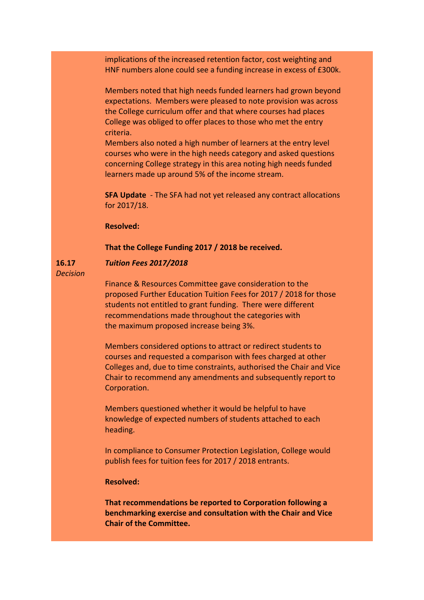implications of the increased retention factor, cost weighting and HNF numbers alone could see a funding increase in excess of £300k.

Members noted that high needs funded learners had grown beyond expectations. Members were pleased to note provision was across the College curriculum offer and that where courses had places College was obliged to offer places to those who met the entry criteria.

Members also noted a high number of learners at the entry level courses who were in the high needs category and asked questions concerning College strategy in this area noting high needs funded learners made up around 5% of the income stream.

**SFA Update** - The SFA had not yet released any contract allocations for 2017/18.

### **Resolved:**

**That the College Funding 2017 / 2018 be received.**

### *Tuition Fees 2017/2018*

*Decision*

**16.17**

Finance & Resources Committee gave consideration to the proposed Further Education Tuition Fees for 2017 / 2018 for those students not entitled to grant funding. There were different recommendations made throughout the categories with the maximum proposed increase being 3%.

Members considered options to attract or redirect students to courses and requested a comparison with fees charged at other Colleges and, due to time constraints, authorised the Chair and Vice Chair to recommend any amendments and subsequently report to Corporation.

Members questioned whether it would be helpful to have knowledge of expected numbers of students attached to each heading.

In compliance to Consumer Protection Legislation, College would publish fees for tuition fees for 2017 / 2018 entrants.

### **Resolved:**

**That recommendations be reported to Corporation following a benchmarking exercise and consultation with the Chair and Vice Chair of the Committee.**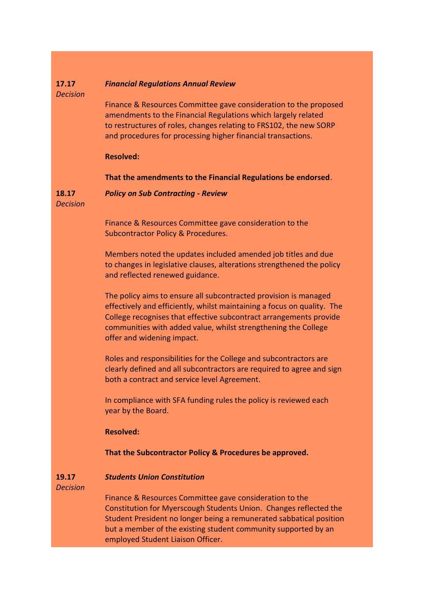#### **17.17** *Financial Regulations Annual Review*

*Decision*

Finance & Resources Committee gave consideration to the proposed amendments to the Financial Regulations which largely related to restructures of roles, changes relating to FRS102, the new SORP and procedures for processing higher financial transactions.

### **Resolved:**

**That the amendments to the Financial Regulations be endorsed**.

**18.17** *Policy on Sub Contracting - Review*

*Decision*

Finance & Resources Committee gave consideration to the Subcontractor Policy & Procedures.

Members noted the updates included amended job titles and due to changes in legislative clauses, alterations strengthened the policy and reflected renewed guidance.

The policy aims to ensure all subcontracted provision is managed effectively and efficiently, whilst maintaining a focus on quality. The College recognises that effective subcontract arrangements provide communities with added value, whilst strengthening the College offer and widening impact.

Roles and responsibilities for the College and subcontractors are clearly defined and all subcontractors are required to agree and sign both a contract and service level Agreement.

In compliance with SFA funding rules the policy is reviewed each year by the Board.

## **Resolved:**

## **That the Subcontractor Policy & Procedures be approved.**

#### **19.17** *Students Union Constitution*

*Decision*

Finance & Resources Committee gave consideration to the Constitution for Myerscough Students Union. Changes reflected the Student President no longer being a remunerated sabbatical position but a member of the existing student community supported by an employed Student Liaison Officer.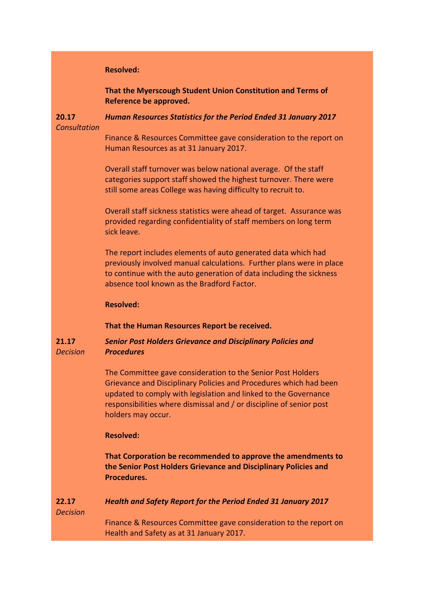|                          | <b>Resolved:</b>                                                                                                                                                                                                                                                                                 |
|--------------------------|--------------------------------------------------------------------------------------------------------------------------------------------------------------------------------------------------------------------------------------------------------------------------------------------------|
|                          | That the Myerscough Student Union Constitution and Terms of<br>Reference be approved.                                                                                                                                                                                                            |
| 20.17<br>Consultation    | Human Resources Statistics for the Period Ended 31 January 2017                                                                                                                                                                                                                                  |
|                          | Finance & Resources Committee gave consideration to the report on<br>Human Resources as at 31 January 2017.                                                                                                                                                                                      |
|                          | Overall staff turnover was below national average. Of the staff<br>categories support staff showed the highest turnover. There were<br>still some areas College was having difficulty to recruit to.                                                                                             |
|                          | Overall staff sickness statistics were ahead of target. Assurance was<br>provided regarding confidentiality of staff members on long term<br>sick leave.                                                                                                                                         |
|                          | The report includes elements of auto generated data which had<br>previously involved manual calculations. Further plans were in place<br>to continue with the auto generation of data including the sickness<br>absence tool known as the Bradford Factor.                                       |
|                          | <b>Resolved:</b>                                                                                                                                                                                                                                                                                 |
|                          | That the Human Resources Report be received.                                                                                                                                                                                                                                                     |
| 21.17<br><b>Decision</b> | <b>Senior Post Holders Grievance and Disciplinary Policies and</b><br><b>Procedures</b>                                                                                                                                                                                                          |
|                          | The Committee gave consideration to the Senior Post Holders<br>Grievance and Disciplinary Policies and Procedures which had been<br>updated to comply with legislation and linked to the Governance<br>responsibilities where dismissal and / or discipline of senior post<br>holders may occur. |
|                          | <b>Resolved:</b>                                                                                                                                                                                                                                                                                 |
|                          | That Corporation be recommended to approve the amendments to<br>the Senior Post Holders Grievance and Disciplinary Policies and<br>Procedures.                                                                                                                                                   |
| 22.17<br><b>Decision</b> | <b>Health and Safety Report for the Period Ended 31 January 2017</b>                                                                                                                                                                                                                             |
|                          | Finance & Resources Committee gave consideration to the report on<br>Health and Safety as at 31 January 2017.                                                                                                                                                                                    |